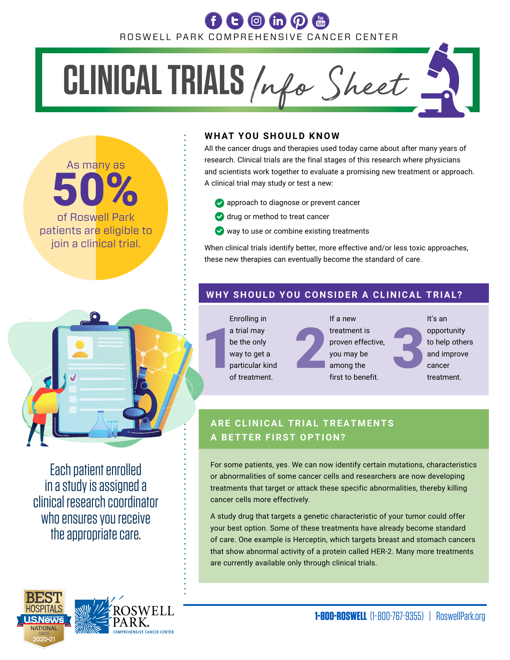## ROSWELL PARK COMPREHENSIVE CANCER CENTER

# **CLINICAL TRIALS** *Info Sheet*.

As many as 50% of Roswell Park patients are eligible to join a clinical trial.

#### **WHAT YOU SHOULD KNOW**

All the cancer drugs and therapies used today came about after many years of research. Clinical trials are the final stages of this research where physicians and scientists work together to evaluate a promising new treatment or approach. A clinical trial may study or test a new:

- sapproach to diagnose or prevent cancer
- **drug or method to treat cancer**
- $\vee$  way to use or combine existing treatments

When clinical trials identify better, more effective and/or less toxic approaches, these new therapies can eventually become the standard of care.

#### **WHY SHOULD YOU CONSIDER A CLINICAL TRIAL?**

a trial may<br>be the only<br>way to get a<br>particular kind<br>of treatment. Enrolling in a trial may be the only way to get a particular kind of treatment. If a new treatment is proven effective, you may be among the first to benefit. It's an opportunity to help others and improve cancer treatment.

### **ARE CLINICAL TRIAL TREATMENTS A BETTER FIRST OPTION?**

For some patients, yes. We can now identify certain mutations, characteristics or abnormalities of some cancer cells and researchers are now developing treatments that target or attack these specific abnormalities, thereby killing cancer cells more effectively.

A study drug that targets a genetic characteristic of your tumor could offer your best option. Some of these treatments have already become standard of care. One example is Herceptin, which targets breast and stomach cancers that show abnormal activity of a protein called HER-2. Many more treatments are currently available only through clinical trials.



Each patient enrolled in a study is assigned a clinical research coordinator who ensures you receive the appropriate care.